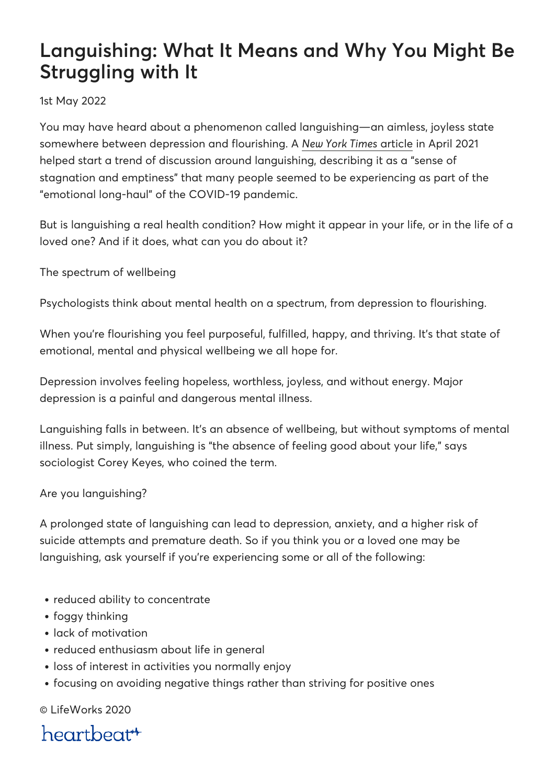# **Languishing: What It Means and Why You Might Be Struggling with It**

### 1st May 2022

You may have heard about a phenomenon called languishing—an aimless, joyless state somewhere between depression and flourishing. A *[New York Times](https://www.nytimes.com/2021/04/19/well/mind/covid-mental-health-languishing.html)* [article](https://www.nytimes.com/2021/04/19/well/mind/covid-mental-health-languishing.html) in April 2021 helped start a trend of discussion around languishing, describing it as a "sense of stagnation and emptiness" that many people seemed to be experiencing as part of the "emotional long-haul" of the COVID-19 pandemic.

But is languishing a real health condition? How might it appear in your life, or in the life of a loved one? And if it does, what can you do about it?

The spectrum of wellbeing

Psychologists think about mental health on a spectrum, from depression to flourishing.

When you're flourishing you feel purposeful, fulfilled, happy, and thriving. It's that state of emotional, mental and physical wellbeing we all hope for.

Depression involves feeling hopeless, worthless, joyless, and without energy. Major depression is a painful and dangerous mental illness.

Languishing falls in between. It's an absence of wellbeing, but without symptoms of mental illness. Put simply, languishing is "the absence of feeling good about your life," says sociologist Corey Keyes, who coined the term.

### Are you languishing?

A prolonged state of languishing can lead to depression, anxiety, and a higher risk of suicide attempts and premature death. So if you think you or a loved one may be languishing, ask yourself if you're experiencing some or all of the following:

- reduced ability to concentrate
- foggy thinking
- lack of motivation
- reduced enthusiasm about life in general
- loss of interest in activities you normally enjoy
- focusing on avoiding negative things rather than striving for positive ones

© LifeWorks 2020

heartbeat<sup>\*</sup>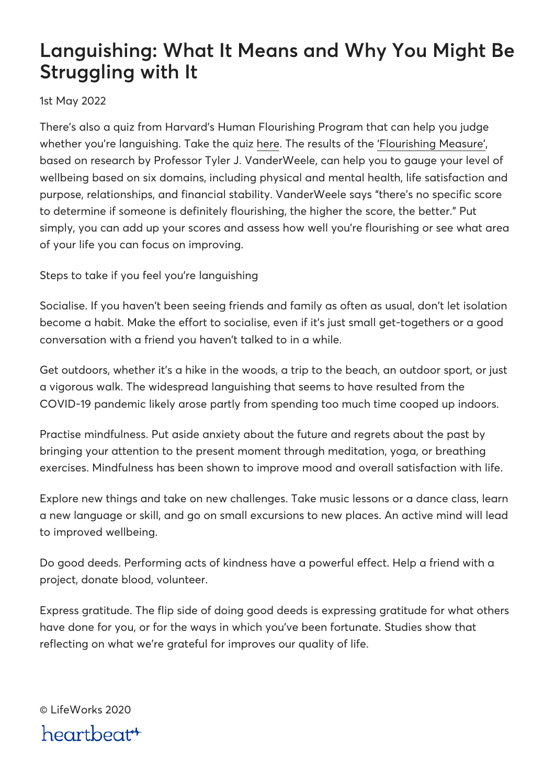## **Languishing: What It Means and Why You Might Be Struggling with It**

1st May 2022

There's also a quiz from Harvard's Human Flourishing Program that can help you judge whether you're languishing. Take the quiz [here.](https://hfh.fas.harvard.edu/files/pik/files/flourishing_measure_pdf.pdf) The results of the ['Flourishing Measure',](https://hfh.fas.harvard.edu/measuring-flourishing) based on research by Professor Tyler J. VanderWeele, can help you to gauge your level of wellbeing based on six domains, including physical and mental health, life satisfaction and purpose, relationships, and financial stability. VanderWeele says "there's no specific score to determine if someone is definitely flourishing, the higher the score, the better." Put simply, you can add up your scores and assess how well you're flourishing or see what area of your life you can focus on improving.

Steps to take if you feel you're languishing

Socialise. If you haven't been seeing friends and family as often as usual, don't let isolation become a habit. Make the effort to socialise, even if it's just small get-togethers or a good conversation with a friend you haven't talked to in a while.

Get outdoors, whether it's a hike in the woods, a trip to the beach, an outdoor sport, or just a vigorous walk. The widespread languishing that seems to have resulted from the COVID-19 pandemic likely arose partly from spending too much time cooped up indoors.

Practise mindfulness. Put aside anxiety about the future and regrets about the past by bringing your attention to the present moment through meditation, yoga, or breathing exercises. Mindfulness has been shown to improve mood and overall satisfaction with life.

Explore new things and take on new challenges. Take music lessons or a dance class, learn a new language or skill, and go on small excursions to new places. An active mind will lead to improved wellbeing.

Do good deeds. Performing acts of kindness have a powerful effect. Help a friend with a project, donate blood, volunteer.

Express gratitude. The flip side of doing good deeds is expressing gratitude for what others have done for you, or for the ways in which you've been fortunate. Studies show that reflecting on what we're grateful for improves our quality of life.

© LifeWorks 2020 heartbeat<sup>\*\*</sup>